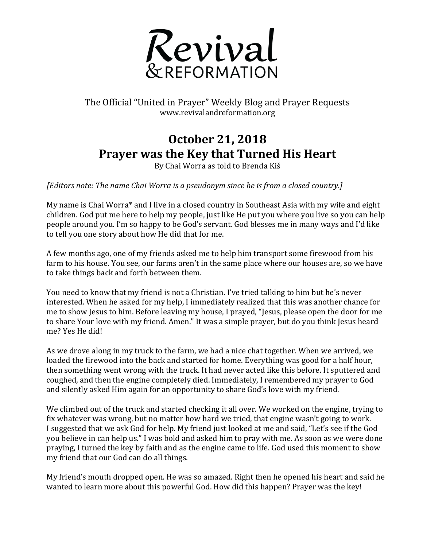

## The Official "United in Prayer" Weekly Blog and Prayer Requests www.revivalandreformation.org

## **October 21, 2018 Prayer was the Key that Turned His Heart**

By Chai Worra as told to Brenda Kiš

*[Editors note: The name Chai Worra is a pseudonym since he is from a closed country.]* 

My name is Chai Worra\* and I live in a closed country in Southeast Asia with my wife and eight children. God put me here to help my people, just like He put you where you live so you can help people around you. I'm so happy to be God's servant. God blesses me in many ways and I'd like to tell you one story about how He did that for me.

A few months ago, one of my friends asked me to help him transport some firewood from his farm to his house. You see, our farms aren't in the same place where our houses are, so we have to take things back and forth between them.

You need to know that my friend is not a Christian. I've tried talking to him but he's never interested. When he asked for my help, I immediately realized that this was another chance for me to show Jesus to him. Before leaving my house, I prayed, "Jesus, please open the door for me to share Your love with my friend. Amen." It was a simple prayer, but do you think Jesus heard me? Yes He did!

As we drove along in my truck to the farm, we had a nice chat together. When we arrived, we loaded the firewood into the back and started for home. Everything was good for a half hour, then something went wrong with the truck. It had never acted like this before. It sputtered and coughed, and then the engine completely died. Immediately, I remembered my prayer to God and silently asked Him again for an opportunity to share God's love with my friend.

We climbed out of the truck and started checking it all over. We worked on the engine, trying to fix whatever was wrong, but no matter how hard we tried, that engine wasn't going to work. I suggested that we ask God for help. My friend just looked at me and said, "Let's see if the God you believe in can help us." I was bold and asked him to pray with me. As soon as we were done praying, I turned the key by faith and as the engine came to life. God used this moment to show my friend that our God can do all things.

My friend's mouth dropped open. He was so amazed. Right then he opened his heart and said he wanted to learn more about this powerful God. How did this happen? Prayer was the key!